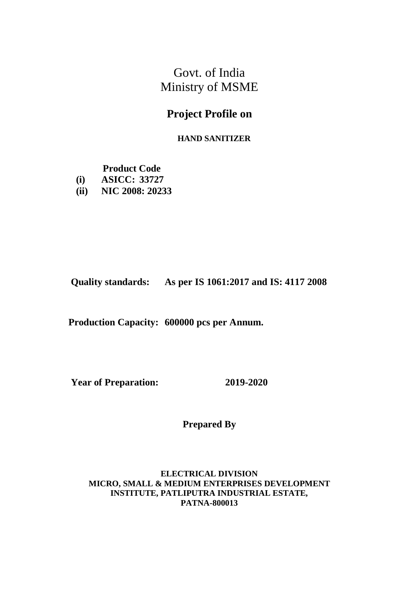Govt. of India Ministry of MSME

# **Project Profile on**

### **HAND SANITIZER**

**Product Code**

- **(i) ASICC: 33727**
- **(ii) NIC 2008: 20233**

**Quality standards: As per IS 1061:2017 and IS: 4117 2008**

**Production Capacity: 600000 pcs per Annum.** 

**Year of Preparation: 2019-2020**

**Prepared By**

 **ELECTRICAL DIVISION MICRO, SMALL & MEDIUM ENTERPRISES DEVELOPMENT INSTITUTE, PATLIPUTRA INDUSTRIAL ESTATE, PATNA-800013**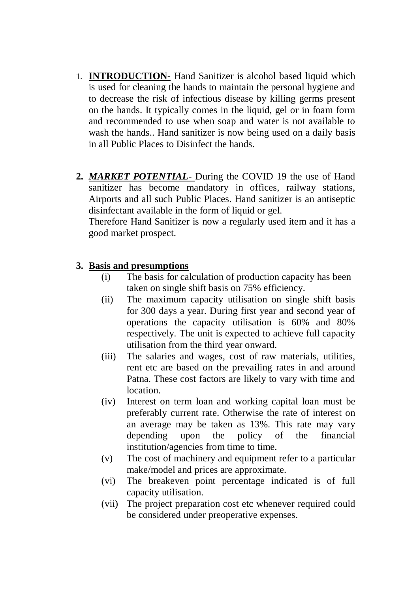- 1. **INTRODUCTION** Hand Sanitizer is alcohol based liquid which is used for cleaning the hands to maintain the personal hygiene and to decrease the risk of infectious disease by killing germs present on the hands. It typically comes in the liquid, gel or in foam form and recommended to use when soap and water is not available to wash the hands.. Hand sanitizer is now being used on a daily basis in all Public Places to Disinfect the hands.
- **2.** *MARKET POTENTIAL* During the COVID 19 the use of Hand sanitizer has become mandatory in offices, railway stations, Airports and all such Public Places. Hand sanitizer is an antiseptic disinfectant available in the form of liquid or gel.

Therefore Hand Sanitizer is now a regularly used item and it has a good market prospect.

## **3. Basis and presumptions**

- (i) The basis for calculation of production capacity has been taken on single shift basis on 75% efficiency.
- (ii) The maximum capacity utilisation on single shift basis for 300 days a year. During first year and second year of operations the capacity utilisation is 60% and 80% respectively. The unit is expected to achieve full capacity utilisation from the third year onward.
- (iii) The salaries and wages, cost of raw materials, utilities, rent etc are based on the prevailing rates in and around Patna. These cost factors are likely to vary with time and location.
- (iv) Interest on term loan and working capital loan must be preferably current rate. Otherwise the rate of interest on an average may be taken as 13%. This rate may vary depending upon the policy of the financial institution/agencies from time to time.
- (v) The cost of machinery and equipment refer to a particular make/model and prices are approximate.
- (vi) The breakeven point percentage indicated is of full capacity utilisation.
- (vii) The project preparation cost etc whenever required could be considered under preoperative expenses.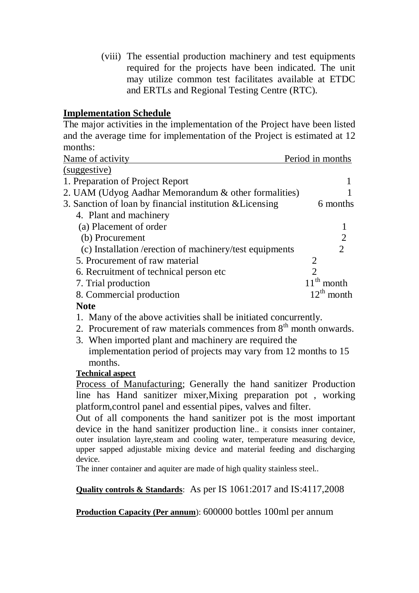(viii) The essential production machinery and test equipments required for the projects have been indicated. The unit may utilize common test facilitates available at ETDC and ERTLs and Regional Testing Centre (RTC).

## **Implementation Schedule**

The major activities in the implementation of the Project have been listed and the average time for implementation of the Project is estimated at 12 months:

| Name of activity                                         | Period in months      |
|----------------------------------------------------------|-----------------------|
| (suggestive)                                             |                       |
| 1. Preparation of Project Report                         |                       |
| 2. UAM (Udyog Aadhar Memorandum & other formalities)     |                       |
| 3. Sanction of loan by financial institution & Licensing | 6 months              |
| 4. Plant and machinery                                   |                       |
| (a) Placement of order                                   |                       |
| (b) Procurement                                          | $\overline{2}$        |
| (c) Installation / erection of machinery/test equipments | $\mathcal{D}_{\cdot}$ |
| 5. Procurement of raw material                           | 2                     |
| 6. Recruitment of technical person etc.                  | $\overline{2}$        |
| 7. Trial production                                      | $11th$ month          |
| 8. Commercial production                                 | $12^{th}$ month       |
| $\blacksquare$                                           |                       |

## **Note**

1. Many of the above activities shall be initiated concurrently.

- 2. Procurement of raw materials commences from  $8<sup>th</sup>$  month onwards.
- 3. When imported plant and machinery are required the implementation period of projects may vary from 12 months to 15 months.

## **Technical aspect**

Process of Manufacturing; Generally the hand sanitizer Production line has Hand sanitizer mixer,Mixing preparation pot , working platform,control panel and essential pipes, valves and filter.

Out of all components the hand sanitizer pot is the most important device in the hand sanitizer production line.. it consists inner container, outer insulation layre,steam and cooling water, temperature measuring device, upper sapped adjustable mixing device and material feeding and discharging device.

The inner container and aquiter are made of high quality stainless steel..

**Quality controls & Standards**: As per IS 1061:2017 and IS:4117,2008

**Production Capacity (Per annum**): 600000 bottles 100ml per annum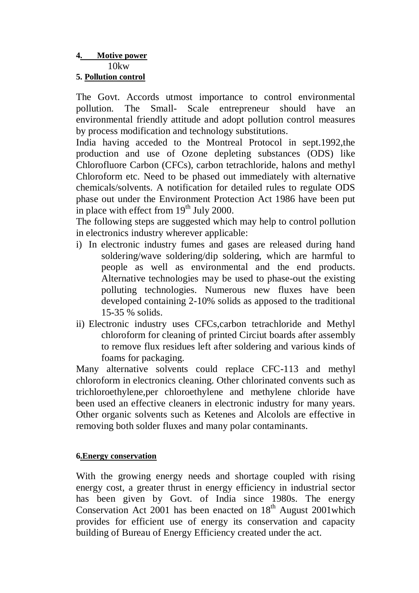### **4. Motive power** 10kw

### **5. Pollution control**

The Govt. Accords utmost importance to control environmental pollution. The Small- Scale entrepreneur should have environmental friendly attitude and adopt pollution control measures by process modification and technology substitutions.

India having acceded to the Montreal Protocol in sept.1992,the production and use of Ozone depleting substances (ODS) like Chlorofluore Carbon (CFCs), carbon tetrachloride, halons and methyl Chloroform etc. Need to be phased out immediately with alternative chemicals/solvents. A notification for detailed rules to regulate ODS phase out under the Environment Protection Act 1986 have been put in place with effect from  $19<sup>th</sup>$  July 2000.

The following steps are suggested which may help to control pollution in electronics industry wherever applicable:

- i) In electronic industry fumes and gases are released during hand soldering/wave soldering/dip soldering, which are harmful to people as well as environmental and the end products. Alternative technologies may be used to phase-out the existing polluting technologies. Numerous new fluxes have been developed containing 2-10% solids as apposed to the traditional 15-35 % solids.
- ii) Electronic industry uses CFCs,carbon tetrachloride and Methyl chloroform for cleaning of printed Circiut boards after assembly to remove flux residues left after soldering and various kinds of foams for packaging.

Many alternative solvents could replace CFC-113 and methyl chloroform in electronics cleaning. Other chlorinated convents such as trichloroethylene,per chloroethylene and methylene chloride have been used an effective cleaners in electronic industry for many years. Other organic solvents such as Ketenes and Alcolols are effective in removing both solder fluxes and many polar contaminants.

### **6.Energy conservation**

With the growing energy needs and shortage coupled with rising energy cost, a greater thrust in energy efficiency in industrial sector has been given by Govt. of India since 1980s. The energy Conservation Act 2001 has been enacted on  $18<sup>th</sup>$  August 2001which provides for efficient use of energy its conservation and capacity building of Bureau of Energy Efficiency created under the act.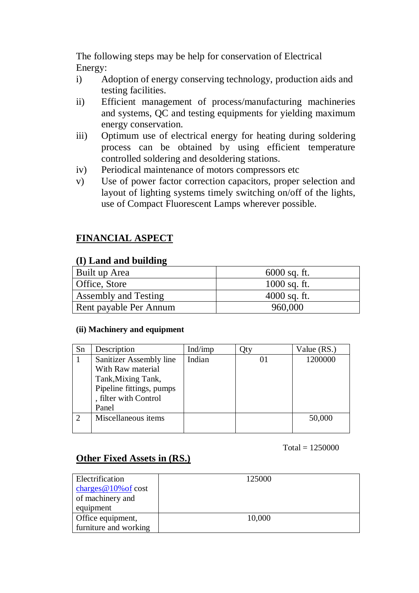The following steps may be help for conservation of Electrical Energy:

- i) Adoption of energy conserving technology, production aids and testing facilities.
- ii) Efficient management of process/manufacturing machineries and systems, QC and testing equipments for yielding maximum energy conservation.
- iii) Optimum use of electrical energy for heating during soldering process can be obtained by using efficient temperature controlled soldering and desoldering stations.
- iv) Periodical maintenance of motors compressors etc
- v) Use of power factor correction capacitors, proper selection and layout of lighting systems timely switching on/off of the lights, use of Compact Fluorescent Lamps wherever possible.

## **FINANCIAL ASPECT**

### **(I) Land and building**

| Built up Area          | $6000$ sq. ft. |
|------------------------|----------------|
| Office, Store          | $1000$ sq. ft. |
| Assembly and Testing   | $4000$ sq. ft. |
| Rent payable Per Annum | 960,000        |

#### **(ii) Machinery and equipment**

| Sn | Description              | Ind/imp | Otv      | Value (RS.) |
|----|--------------------------|---------|----------|-------------|
|    | Sanitizer Assembly line  | Indian  | $\Omega$ | 1200000     |
|    | With Raw material        |         |          |             |
|    | Tank, Mixing Tank,       |         |          |             |
|    | Pipeline fittings, pumps |         |          |             |
|    | , filter with Control    |         |          |             |
|    | Panel                    |         |          |             |
|    | Miscellaneous items      |         |          | 50,000      |
|    |                          |         |          |             |

#### $Total = 1250000$

## **Other Fixed Assets in (RS.)**

| Electrification         | 125000 |
|-------------------------|--------|
| charges $@10\%$ of cost |        |
| of machinery and        |        |
| equipment               |        |
| Office equipment,       | 10,000 |
| furniture and working   |        |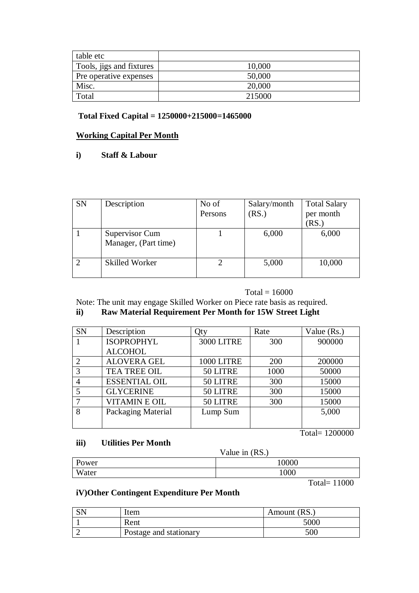| table etc                |        |
|--------------------------|--------|
| Tools, jigs and fixtures | 10,000 |
| Pre operative expenses   | 50,000 |
| Misc.                    | 20,000 |
| Total                    | 215000 |

### **Total Fixed Capital = 1250000+215000=1465000**

#### **Working Capital Per Month**

#### **i) Staff & Labour**

| <b>SN</b> | Description                            | No of<br>Persons | Salary/month<br>(RS.) | <b>Total Salary</b><br>per month<br>(RS. |
|-----------|----------------------------------------|------------------|-----------------------|------------------------------------------|
|           | Supervisor Cum<br>Manager, (Part time) |                  | 6,000                 | 6,000                                    |
|           | <b>Skilled Worker</b>                  |                  | 5,000                 | 10,000                                   |

#### $Total = 16000$

Note: The unit may engage Skilled Worker on Piece rate basis as required.

### **ii) Raw Material Requirement Per Month for 15W Street Light**

| <b>SN</b> | Description          | )tv               | Rate | Value $(Rs.)$ |
|-----------|----------------------|-------------------|------|---------------|
|           | <b>ISOPROPHYL</b>    | <b>3000 LITRE</b> | 300  | 900000        |
|           | <b>ALCOHOL</b>       |                   |      |               |
|           | <b>ALOVERA GEL</b>   | 1000 LITRE        | 200  | 200000        |
|           | <b>TEA TREE OIL</b>  | 50 LITRE          | 1000 | 50000         |
|           | <b>ESSENTIAL OIL</b> | 50 LITRE          | 300  | 15000         |
|           | <b>GLYCERINE</b>     | 50 LITRE          | 300  | 15000         |
|           | <b>VITAMIN E OIL</b> | 50 LITRE          | 300  | 15000         |
| 8         | Packaging Material   | Lump Sum          |      | 5,000         |
|           |                      |                   |      |               |

Total= 1200000

#### **iii) Utilities Per Month**

Value in (RS.)

|       | $\mathbf{v}$ and $\mathbf{u}$ in $\mathbf{u}$ |
|-------|-----------------------------------------------|
| Power | 10000                                         |
| Water | 1000                                          |
|       |                                               |

Total= 11000

### **iV)Other Contingent Expenditure Per Month**

| SN | Item                   | Amount (RS.) |
|----|------------------------|--------------|
|    | Rent                   | 5000         |
|    | Postage and stationary | 500          |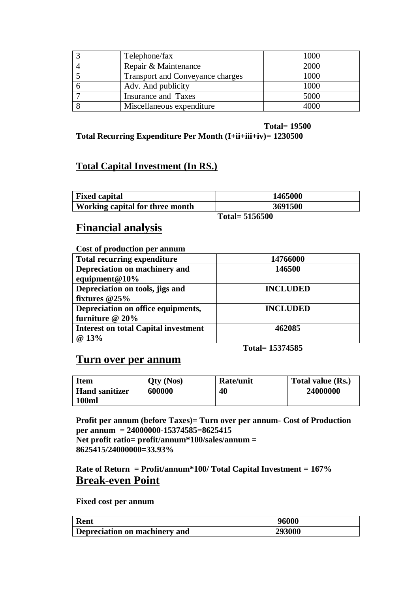| Telephone/fax                    | 1000 |
|----------------------------------|------|
| Repair & Maintenance             | 2000 |
| Transport and Conveyance charges | 1000 |
| Adv. And publicity               | 1000 |
| Insurance and Taxes              | 5000 |
| Miscellaneous expenditure        | 4000 |

 **Total= 19500**

## **Total Recurring Expenditure Per Month (I+ii+iii+iv)= 1230500**

## **Total Capital Investment (In RS.)**

| <b>Fixed capital</b>            | 1465000 |
|---------------------------------|---------|
| Working capital for three month | 3691500 |
| Total= $5156500$                |         |

## **Financial analysis**

#### **Cost of production per annum**

| <b>Total recurring expenditure</b>          | 14766000        |
|---------------------------------------------|-----------------|
| Depreciation on machinery and               | 146500          |
| equipment $@10\%$                           |                 |
| Depreciation on tools, jigs and             | <b>INCLUDED</b> |
| fixtures $@25\%$                            |                 |
| Depreciation on office equipments,          | <b>INCLUDED</b> |
| furniture @ 20%                             |                 |
| <b>Interest on total Capital investment</b> | 462085          |
| @ 13%                                       |                 |

 **Total= 15374585**

## **Turn over per annum**

| Item                  | Otv (Nos) | <b>Rate/unit</b> | Total value (Rs.) |
|-----------------------|-----------|------------------|-------------------|
| <b>Hand sanitizer</b> | 600000    | 40               | 24000000          |
| <b>100ml</b>          |           |                  |                   |

**Profit per annum (before Taxes)= Turn over per annum- Cost of Production per annum = 24000000-15374585=8625415 Net profit ratio= profit/annum\*100/sales/annum = 8625415/24000000=33.93%**

**Rate of Return = Profit/annum\*100/ Total Capital Investment = 167% Break-even Point**

**Fixed cost per annum**

| Rent                          | 96000         |  |
|-------------------------------|---------------|--|
| Depreciation on machinery and | <b>293000</b> |  |